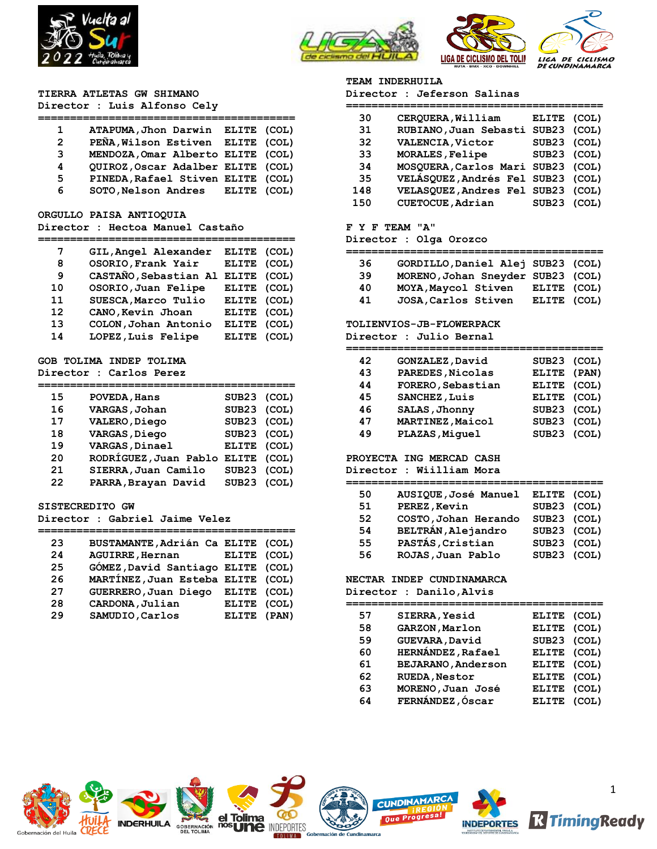



# **TIERRA ATLETAS GW SHIMANO**

# **Director : Luis Alfonso Cely**

| 1             | ATAPUMA, Jhon Darwin ELITE (COL)  |  |
|---------------|-----------------------------------|--|
| $\mathcal{P}$ | PEÑA, Wilson Estiven ELITE (COL)  |  |
| 3             | MENDOZA, Omar Alberto ELITE (COL) |  |
| 4             | QUIROZ, Oscar Adalber ELITE (COL) |  |
| 5.            | PINEDA, Rafael Stiven ELITE (COL) |  |
| 6             | SOTO, Nelson Andres ELITE (COL)   |  |
|               |                                   |  |

#### **ORGULLO PAISA ANTIOQUIA**

### **Director : Hectoa Manuel Castaño**

| 7  | GIL, Angel Alexander  | <b>ELITE</b> | (COL) |
|----|-----------------------|--------------|-------|
| 8  | OSORIO, Frank Yair    | ELITE (COL)  |       |
| 9  | CASTAÑO, Sebastian Al | ELITE (COL)  |       |
| 10 | OSORIO, Juan Felipe   | ELITE (COL)  |       |
| 11 | SUESCA, Marco Tulio   | ELITE (COL)  |       |
| 12 | CANO, Kevin Jhoan     | ELITE (COL)  |       |
| 13 | COLON, Johan Antonio  | <b>ELITE</b> | (COL) |
| 14 | LOPEZ, Luis Felipe    | <b>ELITE</b> | (COL) |
|    |                       |              |       |

### **GOB TOLIMA INDEP TOLIMA Director : Carlos Perez**

| 15 | POVEDA, Hans          | SUB23 (COL)  |       |
|----|-----------------------|--------------|-------|
| 16 | VARGAS, Johan         | SUB23 (COL)  |       |
| 17 | VALERO, Diego         | SUB23 (COL)  |       |
| 18 | VARGAS, Diego         | SUB23 (COL)  |       |
| 19 | VARGAS, Dinael        | ELITE (COL)  |       |
| 20 | RODRÍGUEZ, Juan Pablo | <b>ELITE</b> | (COL) |
| 21 | SIERRA, Juan Camilo   | SUB23 (COL)  |       |
| 22 | PARRA, Brayan David   | SUB23 (COL)  |       |

#### **SISTECREDITO GW**

**Director : Gabriel Jaime Velez**

| 23 | BUSTAMANTE, Adrián Ca ELITE (COL) |             |  |
|----|-----------------------------------|-------------|--|
| 24 | <b>AGUIRRE, Hernan</b>            | ELITE (COL) |  |
| 25 | GÓMEZ, David Santiago ELITE (COL) |             |  |
| 26 | MARTÍNEZ, Juan Esteba ELITE (COL) |             |  |
| 27 | GUERRERO, Juan Diego              | ELITE (COL) |  |
| 28 | CARDONA, Julian                   | ELITE (COL) |  |
| 29 | SAMUDIO, Carlos                   | ELITE (PAN) |  |
|    |                                   |             |  |

#### **TEAM INDERHUILA**

| Director : Jeferson Salinas |  |  |
|-----------------------------|--|--|
|-----------------------------|--|--|

| 30  | CERQUERA, William                 | ELITE (COL) |       |
|-----|-----------------------------------|-------------|-------|
| 31  | RUBIANO, Juan Sebasti SUB23 (COL) |             |       |
| 32  | VALENCIA, Victor                  | SUB23 (COL) |       |
| 33  | MORALES, Felipe                   | SUB23 (COL) |       |
| 34  | MOSQUERA, Carlos Mari SUB23 (COL) |             |       |
| 35  | VELÁSQUEZ, Andrés Fel SUB23 (COL) |             |       |
| 148 | VELASQUEZ, Andres Fel SUB23 (COL) |             |       |
| 150 | CUETOCUE, Adrian                  | SUB23       | (COL) |

### **F Y F TEAM "A"**

#### **Director : Olga Orozco**

| 36 | GORDILLO, Daniel Alej SUB23 (COL) |             |  |
|----|-----------------------------------|-------------|--|
| 39 | MORENO, Johan Sneyder SUB23 (COL) |             |  |
| 40 | MOYA, Maycol Stiven               | ELITE (COL) |  |
| 41 | JOSA, Carlos Stiven               | ELITE (COL) |  |

### **TOLIENVIOS-JB-FLOWERPACK**

**Director : Julio Bernal**

| 42 | GONZALEZ, David   | SUB23 (COL) |       |
|----|-------------------|-------------|-------|
| 43 | PAREDES, Nicolas  | ELITE (PAN) |       |
| 44 | FORERO, Sebastian | ELITE (COL) |       |
| 45 | SANCHEZ, Luis     | ELITE (COL) |       |
| 46 | SALAS, Jhonny     | SUB23 (COL) |       |
| 47 | MARTINEZ, Maicol  | SUB23       | (COL) |
| 49 | PLAZAS, Miguel    | SUB23 (COL) |       |

# **PROYECTA ING MERCAD CASH**

**Director : Wiilliam Mora**

| 50 | AUSIQUE, José Manuel | ELITE (COL) |  |
|----|----------------------|-------------|--|
| 51 | PEREZ, Kevin         | SUB23 (COL) |  |
| 52 | COSTO, Johan Herando | SUB23 (COL) |  |
| 54 | BELTRÁN, Alejandro   | SUB23 (COL) |  |
| 55 | PASTÁS, Cristian     | SUB23 (COL) |  |
| 56 | ROJAS, Juan Pablo    | SUB23 (COL) |  |

#### **NECTAR INDEP CUNDINAMARCA**

**Director : Danilo,Alvis**

| 57 | SIERRA, Yesid             | <b>ELITE</b> | (COL) |
|----|---------------------------|--------------|-------|
| 58 | GARZON, Marlon            | <b>ELITE</b> | (COL) |
| 59 | GUEVARA, David            | SUB23 (COL)  |       |
| 60 | <b>HERNÁNDEZ, Rafael</b>  | <b>ELITE</b> | (COL) |
| 61 | <b>BEJARANO, Anderson</b> | <b>ELITE</b> | (COL) |
| 62 | <b>RUEDA, Nestor</b>      | <b>ELITE</b> | (COL) |
| 63 | MORENO, Juan José         | <b>ELITE</b> | (COL) |
| 64 | FERNÁNDEZ, Óscar          | <b>ELITE</b> | (COL) |
|    |                           |              |       |







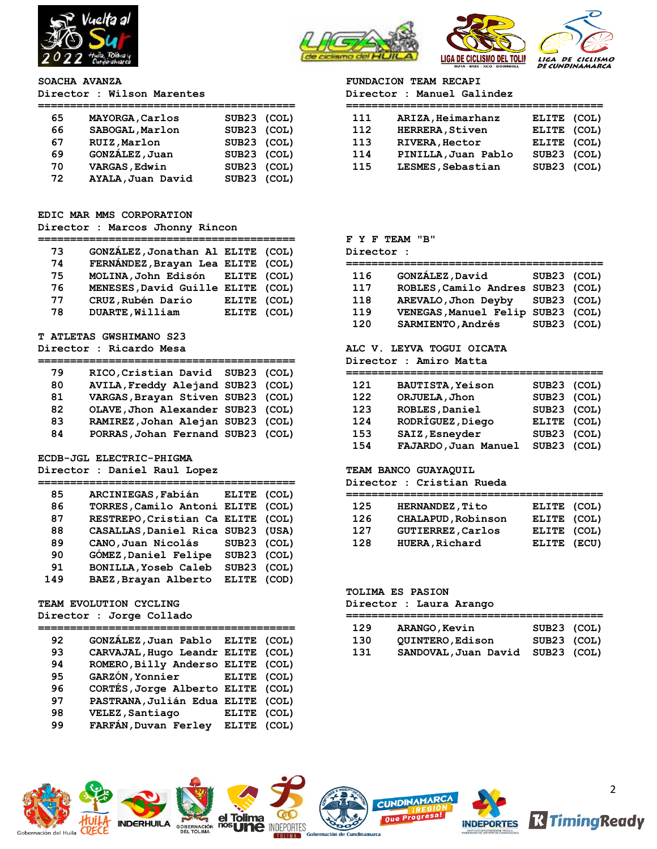



#### **SOACHA AVANZA**

**Director : Wilson Marentes**

| 65 | MAYORGA, Carlos   | SUB23 (COL) |  |
|----|-------------------|-------------|--|
| 66 | SABOGAL, Marlon   | SUB23 (COL) |  |
| 67 | RUIZ, Marlon      | SUB23 (COL) |  |
| 69 | GONZÁLEZ, Juan    | SUB23 (COL) |  |
| 70 | VARGAS, Edwin     | SUB23 (COL) |  |
| 72 | AYALA, Juan David | SUB23 (COL) |  |

# **EDIC MAR MMS CORPORATION**

# **Director : Marcos Jhonny Rincon**

| 73 | GONZÁLEZ, Jonathan Al ELITE (COL) |             |  |
|----|-----------------------------------|-------------|--|
| 74 | FERNÁNDEZ, Brayan Lea ELITE (COL) |             |  |
| 75 | MOLINA, John Edisón ELITE (COL)   |             |  |
| 76 | MENESES, David Guille ELITE (COL) |             |  |
| 77 | CRUZ, Rubén Darío                 | ELITE (COL) |  |
| 78 | DUARTE, William                   | ELITE (COL) |  |

#### **T ATLETAS GWSHIMANO S23**

### **Director : Ricardo Mesa**

| 79 | RICO, Cristian David SUB23 (COL)  |  |
|----|-----------------------------------|--|
| 80 | AVILA, Freddy Alejand SUB23 (COL) |  |
| 81 | VARGAS, Brayan Stiven SUB23 (COL) |  |
| 82 | OLAVE, Jhon Alexander SUB23 (COL) |  |
| 83 | RAMIREZ, Johan Alejan SUB23 (COL) |  |
| 84 | PORRAS, Johan Fernand SUB23 (COL) |  |

#### **ECDB-JGL ELECTRIC-PHIGMA**

**Director : Daniel Raul Lopez**

| 85  | ARCINIEGAS, Fabián                | <b>ELITE</b> | (COL) |
|-----|-----------------------------------|--------------|-------|
| 86  | TORRES, Camilo Antoni ELITE (COL) |              |       |
| 87  | RESTREPO, Cristian Ca ELITE (COL) |              |       |
| 88  | CASALLAS, Daniel Rica SUB23 (USA) |              |       |
| 89  | CANO, Juan Nicolás                | SUB23 (COL)  |       |
| 90  | GÓMEZ, Daniel Felipe              | SUB23 (COL)  |       |
| 91  | <b>BONILLA, Yoseb Caleb</b>       | SUB23 (COL)  |       |
| 149 | BAEZ, Brayan Alberto              | ELITE (COD)  |       |

### **TEAM EVOLUTION CYCLING Director : Jorge Collado**

### **========================================**

| 92 | GONZÁLEZ, Juan Pablo ELITE (COL)  |              |       |
|----|-----------------------------------|--------------|-------|
| 93 | CARVAJAL, Hugo Leandr ELITE (COL) |              |       |
| 94 | ROMERO, Billy Anderso ELITE (COL) |              |       |
| 95 | GARZÓN, Yonnier ELITE (COL)       |              |       |
| 96 | CORTÉS, Jorge Alberto ELITE (COL) |              |       |
| 97 | PASTRANA, Julián Edua ELITE (COL) |              |       |
| 98 | VELEZ, Santiago                   | <b>ELITE</b> | (COL) |
| 99 | FARFÁN, Duvan Ferley              | <b>ELITE</b> | (COL) |
|    |                                   |              |       |

# **FUNDACION TEAM RECAPI**

|  | Director : Manuel Galindez |
|--|----------------------------|
|--|----------------------------|

| 111 | ARIZA, Heimarhanz      | ELITE (COL) |  |
|-----|------------------------|-------------|--|
| 112 | <b>HERRERA, Stiven</b> | ELITE (COL) |  |
| 113 | <b>RIVERA, Hector</b>  | ELITE (COL) |  |
| 114 | PINILLA, Juan Pablo    | SUB23 (COL) |  |
| 115 | LESMES, Sebastian      | SUB23 (COL) |  |
|     |                        |             |  |

### **F Y F TEAM "B"**

#### **Director :**

| 116 | GONZÁLEZ, David                   | SUB23 (COL) |  |
|-----|-----------------------------------|-------------|--|
| 117 | ROBLES, Camilo Andres SUB23 (COL) |             |  |
| 118 | AREVALO, Jhon Deyby SUB23 (COL)   |             |  |
| 119 | VENEGAS, Manuel Felip SUB23 (COL) |             |  |
| 120 | SARMIENTO, Andrés                 | SUB23 (COL) |  |

### **ALC V. LEYVA TOGUI OICATA**

**Director : Amiro Matta**

| 121 | <b>BAUTISTA, Yeison</b> | SUB23 (COL) |  |
|-----|-------------------------|-------------|--|
| 122 | ORJUELA, Jhon           | SUB23 (COL) |  |
| 123 | ROBLES, Daniel          | SUB23 (COL) |  |
| 124 | RODRÍGUEZ, Diego        | ELITE (COL) |  |
| 153 | SAIZ, Esnevder          | SUB23 (COL) |  |
| 154 | FAJARDO, Juan Manuel    | SUB23 (COL) |  |

### **TEAM BANCO GUAYAQUIL**

**Director : Cristian Rueda**

| 125 | HERNANDEZ, Tito          | ELITE (COL) |  |
|-----|--------------------------|-------------|--|
| 126 | CHALAPUD, Robinson       | ELITE (COL) |  |
| 127 | <b>GUTIERREZ, Carlos</b> | ELITE (COL) |  |
| 128 | <b>HUERA, Richard</b>    | ELITE (ECU) |  |

### **TOLIMA ES PASION**

**Director : Laura Arango**

| 129 | ARANGO, Kevin                    | SUB23 (COL) |  |
|-----|----------------------------------|-------------|--|
| 130 | OUINTERO, Edison                 | SUB23 (COL) |  |
| 131 | SANDOVAL, Juan David SUB23 (COL) |             |  |